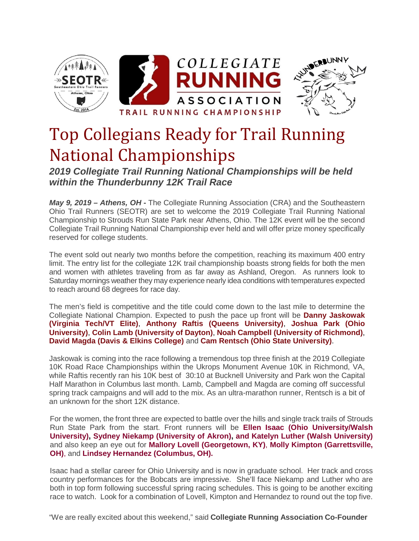

# Top Collegians Ready for Trail Running National Championships

*2019 Collegiate Trail Running National Championships will be held within the Thunderbunny 12K Trail Race*

*May 9, 2019 – Athens, OH* **-** The Collegiate Running Association (CRA) and the Southeastern Ohio Trail Runners (SEOTR) are set to welcome the 2019 Collegiate Trail Running National Championship to Strouds Run State Park near Athens, Ohio. The 12K event will be the second Collegiate Trail Running National Championship ever held and will offer prize money specifically reserved for college students.

The event sold out nearly two months before the competition, reaching its maximum 400 entry limit. The entry list for the collegiate 12K trail championship boasts strong fields for both the men and women with athletes traveling from as far away as Ashland, Oregon. As runners look to Saturday mornings weather they may experience nearly idea conditions with temperatures expected to reach around 68 degrees for race day.

The men's field is competitive and the title could come down to the last mile to determine the Collegiate National Champion. Expected to push the pace up front will be **Danny Jaskowak (Virginia Tech/VT Elite)**, **Anthony Raftis (Queens University)**, **Joshua Park (Ohio University)**, **Colin Lamb (University of Dayton)**, **Noah Campbell (University of Richmond)**, **David Magda (Davis & Elkins College)** and **Cam Rentsch (Ohio State University)**.

Jaskowak is coming into the race following a tremendous top three finish at the 2019 Collegiate 10K Road Race Championships within the Ukrops Monument Avenue 10K in Richmond, VA, while Raftis recently ran his 10K best of 30:10 at Bucknell University and Park won the Capital Half Marathon in Columbus last month. Lamb, Campbell and Magda are coming off successful spring track campaigns and will add to the mix. As an ultra-marathon runner, Rentsch is a bit of an unknown for the short 12K distance.

For the women, the front three are expected to battle over the hills and single track trails of Strouds Run State Park from the start. Front runners will be **Ellen Isaac (Ohio University/Walsh University), Sydney Niekamp (University of Akron), and Katelyn Luther (Walsh University)** and also keep an eye out for **Mallory Lovell (Georgetown, KY)**, **Molly Kimpton (Garrettsville, OH)**, and **Lindsey Hernandez (Columbus, OH).**

Isaac had a stellar career for Ohio University and is now in graduate school. Her track and cross country performances for the Bobcats are impressive. She'll face Niekamp and Luther who are both in top form following successful spring racing schedules. This is going to be another exciting race to watch. Look for a combination of Lovell, Kimpton and Hernandez to round out the top five.

"We are really excited about this weekend," said **Collegiate Running Association Co-Founder**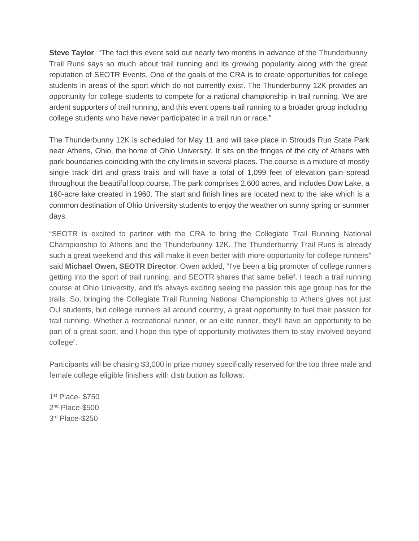**Steve Taylor**. "The fact this event sold out nearly two months in advance of the Thunderbunny Trail Runs says so much about trail running and its growing popularity along with the great reputation of SEOTR Events. One of the goals of the CRA is to create opportunities for college students in areas of the sport which do not currently exist. The Thunderbunny 12K provides an opportunity for college students to compete for a national championship in trail running. We are ardent supporters of trail running, and this event opens trail running to a broader group including college students who have never participated in a trail run or race."

The Thunderbunny 12K is scheduled for May 11 and will take place in Strouds Run State Park near Athens, Ohio, the home of Ohio University. It sits on the fringes of the city of Athens with park boundaries coinciding with the city limits in several places. The course is a mixture of mostly single track dirt and grass trails and will have a total of 1,099 feet of elevation gain spread throughout the beautiful loop course. The park comprises 2,600 acres, and includes Dow Lake, a 160-acre lake created in 1960. The start and finish lines are located next to the lake which is a common destination of Ohio University students to enjoy the weather on sunny spring or summer days.

"SEOTR is excited to partner with the CRA to bring the Collegiate Trail Running National Championship to Athens and the Thunderbunny 12K. The Thunderbunny Trail Runs is already such a great weekend and this will make it even better with more opportunity for college runners" said **Michael Owen, SEOTR Director**. Owen added, "I've been a big promoter of college runners getting into the sport of trail running, and SEOTR shares that same belief. I teach a trail running course at Ohio University, and it's always exciting seeing the passion this age group has for the trails. So, bringing the Collegiate Trail Running National Championship to Athens gives not just OU students, but college runners all around country, a great opportunity to fuel their passion for trail running. Whether a recreational runner, or an elite runner, they'll have an opportunity to be part of a great sport, and I hope this type of opportunity motivates them to stay involved beyond college".

Participants will be chasing \$3,000 in prize money specifically reserved for the top three male and female college eligible finishers with distribution as follows:

1st Place- \$750 2nd Place-\$500 3rd Place-\$250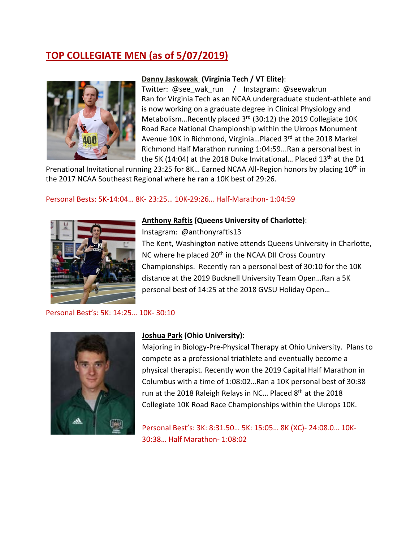# **TOP COLLEGIATE MEN (as of 5/07/2019)**



#### **Danny Jaskowak (Virginia Tech / VT Elite)**:

Twitter: @see\_wak\_run / Instagram: @seewakrun Ran for Virginia Tech as an NCAA undergraduate student-athlete and is now working on a graduate degree in Clinical Physiology and Metabolism...Recently placed 3<sup>rd</sup> (30:12) the 2019 Collegiate 10K Road Race National Championship within the Ukrops Monument Avenue 10K in Richmond, Virginia...Placed 3<sup>rd</sup> at the 2018 Markel Richmond Half Marathon running 1:04:59...Ran a personal best in the 5K (14:04) at the 2018 Duke Invitational... Placed  $13<sup>th</sup>$  at the D1

Prenational Invitational running 23:25 for 8K... Earned NCAA All-Region honors by placing 10<sup>th</sup> in the 2017 NCAA Southeast Regional where he ran a 10K best of 29:26.

# Personal Bests: 5K-14:04… 8K- 23:25… 10K-29:26… Half-Marathon- 1:04:59



## **Anthony Raftis (Queens University of Charlotte)**:

Instagram: @anthonyraftis13 The Kent, Washington native attends Queens University in Charlotte, NC where he placed 20<sup>th</sup> in the NCAA DII Cross Country Championships. Recently ran a personal best of 30:10 for the 10K distance at the 2019 Bucknell University Team Open…Ran a 5K

personal best of 14:25 at the 2018 GVSU Holiday Open…

#### Personal Best's: 5K: 14:25… 10K- 30:10



#### **Joshua Park (Ohio University)**:

Majoring in Biology-Pre-Physical Therapy at Ohio University. Plans to compete as a professional triathlete and eventually become a physical therapist. Recently won the 2019 Capital Half Marathon in Columbus with a time of 1:08:02…Ran a 10K personal best of 30:38 run at the 2018 Raleigh Relays in NC... Placed 8<sup>th</sup> at the 2018 Collegiate 10K Road Race Championships within the Ukrops 10K.

Personal Best's: 3K: 8:31.50… 5K: 15:05… 8K (XC)- 24:08.0… 10K-30:38… Half Marathon- 1:08:02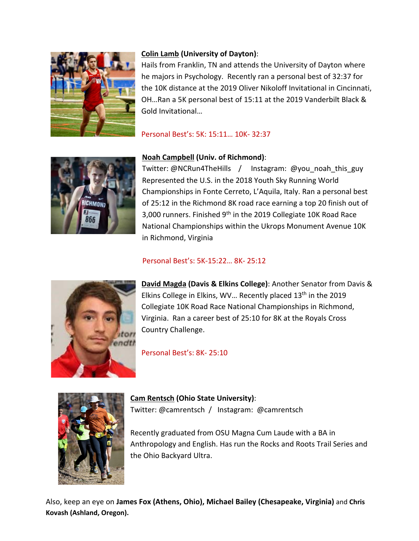

# **Colin Lamb (University of Dayton)**:

Hails from Franklin, TN and attends the University of Dayton where he majors in Psychology. Recently ran a personal best of 32:37 for the 10K distance at the 2019 Oliver Nikoloff Invitational in Cincinnati, OH…Ran a 5K personal best of 15:11 at the 2019 Vanderbilt Black & Gold Invitational…

Personal Best's: 5K: 15:11… 10K- 32:37



# **Noah Campbell (Univ. of Richmond)**:

Twitter: @NCRun4TheHills / Instagram: @you\_noah\_this\_guy Represented the U.S. in the 2018 Youth Sky Running World Championships in Fonte Cerreto, L'Aquila, Italy. Ran a personal best of 25:12 in the Richmond 8K road race earning a top 20 finish out of 3,000 runners. Finished 9<sup>th</sup> in the 2019 Collegiate 10K Road Race National Championships within the Ukrops Monument Avenue 10K in Richmond, Virginia

# Personal Best's: 5K-15:22… 8K- 25:12



**David Magda (Davis & Elkins College)**: Another Senator from Davis & Elkins College in Elkins, WV... Recently placed 13<sup>th</sup> in the 2019 Collegiate 10K Road Race National Championships in Richmond, Virginia. Ran a career best of 25:10 for 8K at the Royals Cross Country Challenge.

Personal Best's: 8K- 25:10



**Cam Rentsch (Ohio State University)**: Twitter: @camrentsch / Instagram: @camrentsch

Recently graduated from OSU Magna Cum Laude with a BA in Anthropology and English. Has run the Rocks and Roots Trail Series and the Ohio Backyard Ultra.

Also, keep an eye on **James Fox (Athens, Ohio), Michael Bailey (Chesapeake, Virginia)** and **Chris Kovash (Ashland, Oregon).**